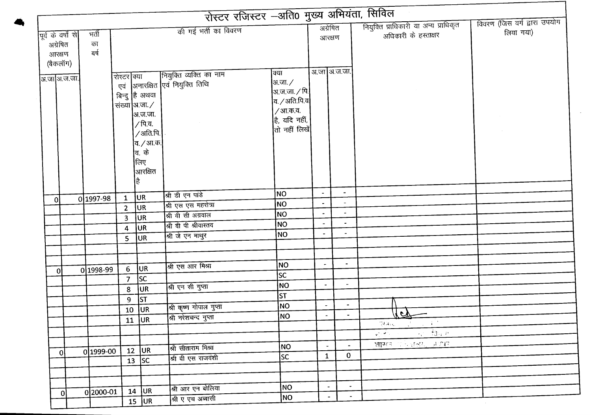|                    |            |                |                       | रोस्टर रजिस्टर –अति0 मुख्य अभियंता, सिविल                              |                              |                             |                          |                                                                                                                                                                                                                                                                                                                                                                                                                                                                      |                              |
|--------------------|------------|----------------|-----------------------|------------------------------------------------------------------------|------------------------------|-----------------------------|--------------------------|----------------------------------------------------------------------------------------------------------------------------------------------------------------------------------------------------------------------------------------------------------------------------------------------------------------------------------------------------------------------------------------------------------------------------------------------------------------------|------------------------------|
|                    |            |                |                       | की गई भर्ती का विवरण                                                   |                              | अग्रेषित                    |                          | नियुक्ति प्राधिकारी या अन्य प्राधिकृत                                                                                                                                                                                                                                                                                                                                                                                                                                | विवरण (जिस वर्ग द्वारा उपयोग |
| पूर्व के वर्षों से | भर्ती      |                |                       |                                                                        |                              | आरक्षण                      |                          | अधिकारी के हस्ताक्षर                                                                                                                                                                                                                                                                                                                                                                                                                                                 | लिया गया)                    |
| अग्रेषित           | का<br>बर्ष |                |                       |                                                                        |                              |                             |                          |                                                                                                                                                                                                                                                                                                                                                                                                                                                                      |                              |
| आरक्षण             |            |                |                       |                                                                        |                              |                             |                          |                                                                                                                                                                                                                                                                                                                                                                                                                                                                      |                              |
| (बैकलॉग)           |            |                |                       |                                                                        |                              | अ.जा अ.ज.जा.                |                          |                                                                                                                                                                                                                                                                                                                                                                                                                                                                      |                              |
| अ.जाआि.ज.जा.       |            | रोस्टर क्या    |                       | रोस्टर क्या नियुक्ति व्यक्ति का नाम<br>एवं अनारक्षित एवं नियुक्ति तिथि | क्या<br> अ.जा. $\angle$      |                             |                          |                                                                                                                                                                                                                                                                                                                                                                                                                                                                      |                              |
|                    |            |                |                       |                                                                        | अ.ज.जा. ⁄ पि. <mark> </mark> |                             |                          |                                                                                                                                                                                                                                                                                                                                                                                                                                                                      |                              |
|                    |            |                | बिन्दु है अथवा        |                                                                        | व /अति.पि.व $\vert$          |                             |                          |                                                                                                                                                                                                                                                                                                                                                                                                                                                                      |                              |
|                    |            |                | संख्या आ.जा./         |                                                                        | $/3$ ता.क.व.                 |                             |                          |                                                                                                                                                                                                                                                                                                                                                                                                                                                                      |                              |
|                    |            |                | अ.ज.जा.               |                                                                        | है, यदि नहीं,                |                             |                          |                                                                                                                                                                                                                                                                                                                                                                                                                                                                      |                              |
|                    |            |                | /पि.व.                |                                                                        | तो नहीं लिखें                |                             |                          |                                                                                                                                                                                                                                                                                                                                                                                                                                                                      |                              |
|                    |            |                | /अति.पि. <sup> </sup> |                                                                        |                              |                             |                          |                                                                                                                                                                                                                                                                                                                                                                                                                                                                      |                              |
|                    |            |                | व. <i>/</i> आ.क.      |                                                                        |                              |                             |                          |                                                                                                                                                                                                                                                                                                                                                                                                                                                                      |                              |
|                    |            |                | वि. के                |                                                                        |                              |                             |                          |                                                                                                                                                                                                                                                                                                                                                                                                                                                                      |                              |
|                    |            |                | लिए<br>आरक्षित        |                                                                        |                              |                             |                          |                                                                                                                                                                                                                                                                                                                                                                                                                                                                      |                              |
|                    |            |                | है                    |                                                                        |                              |                             |                          |                                                                                                                                                                                                                                                                                                                                                                                                                                                                      |                              |
|                    |            |                |                       |                                                                        |                              |                             |                          |                                                                                                                                                                                                                                                                                                                                                                                                                                                                      |                              |
| Οl                 | 0 1997-98  | $\mathbf{1}$   | UR                    | श्री डी एन पांडे                                                       | NO                           | $\blacksquare$              | $\blacksquare$           |                                                                                                                                                                                                                                                                                                                                                                                                                                                                      |                              |
|                    |            | $\overline{2}$ | <b>JUR</b>            | श्री एस एस महरोत्रा                                                    | <b>NO</b>                    |                             | $\equiv$                 |                                                                                                                                                                                                                                                                                                                                                                                                                                                                      |                              |
|                    |            | $\overline{3}$ | <b>JUR</b>            | श्री वी सी अग्रवाल                                                     | <b>NO</b>                    |                             | $\frac{1}{2}$            |                                                                                                                                                                                                                                                                                                                                                                                                                                                                      |                              |
|                    |            | 4              | UR                    | श्री वी पी श्रीवास्तव                                                  | NO                           | $\blacksquare$              | $\sim$                   |                                                                                                                                                                                                                                                                                                                                                                                                                                                                      |                              |
|                    |            | 5              | <b>JUR</b>            | श्री जे एन माथुर                                                       | NO                           | $\overline{\phantom{a}}$    | $\blacksquare$           |                                                                                                                                                                                                                                                                                                                                                                                                                                                                      |                              |
|                    |            |                |                       |                                                                        |                              |                             |                          |                                                                                                                                                                                                                                                                                                                                                                                                                                                                      |                              |
|                    |            |                |                       |                                                                        |                              |                             |                          |                                                                                                                                                                                                                                                                                                                                                                                                                                                                      |                              |
| οI                 | 0 1998-99  | 6 <sup>1</sup> | UR <sub></sub>        | श्री एस आर मिश्रा                                                      | <b>NO</b>                    |                             | $\sim$                   |                                                                                                                                                                                                                                                                                                                                                                                                                                                                      |                              |
|                    |            | $\overline{7}$ | lsc                   |                                                                        | SC                           |                             |                          |                                                                                                                                                                                                                                                                                                                                                                                                                                                                      |                              |
|                    |            | 8              | UR                    | श्री एन सी गुप्ता                                                      | NO                           | $\blacksquare$              | $\overline{\phantom{a}}$ |                                                                                                                                                                                                                                                                                                                                                                                                                                                                      |                              |
|                    |            | 9              | ST                    |                                                                        | <b>ST</b>                    |                             |                          |                                                                                                                                                                                                                                                                                                                                                                                                                                                                      |                              |
|                    |            |                | $10$ UR               | श्री कृष्ण गोपाल गुप्ता                                                | NO <sub>1</sub>              | $\sim$                      | $\blacksquare$           |                                                                                                                                                                                                                                                                                                                                                                                                                                                                      |                              |
|                    |            |                | $11$ UR               | श्री नरेशचन्द गुप्ता                                                   | <b>NO</b>                    | $\blacksquare$              | $\blacksquare$           | $uc -$                                                                                                                                                                                                                                                                                                                                                                                                                                                               |                              |
|                    |            |                |                       |                                                                        |                              |                             |                          | $\mathcal{A}^{\text{max}}$ and $\mathcal{A}^{\text{max}}$<br>704 kg/m                                                                                                                                                                                                                                                                                                                                                                                                |                              |
|                    |            |                |                       |                                                                        |                              |                             |                          | $-12.7$ $-13.7$ $-11.7$<br>$\label{eq:4} \frac{\partial \mathcal{L}_{\mathcal{L}_{\mathcal{L}}}^{\mathcal{L}_{\mathcal{L}}}(\mathcal{L}_{\mathcal{L}}^{\mathcal{L}}(\mathcal{L}_{\mathcal{L}}))}{\partial \mathcal{L}_{\mathcal{L}}}^{\mathcal{L}_{\mathcal{L}}}(\mathcal{L}_{\mathcal{L}}^{\mathcal{L}}(\mathcal{L}_{\mathcal{L}}^{\mathcal{L}}(\mathcal{L}_{\mathcal{L}}^{\mathcal{L}})^{-1})\mathcal{L}_{\mathcal{L}}^{\mathcal{L}_{\mathcal{L}}^{\mathcal{L}}})$ |                              |
|                    |            |                | $\overline{12}$ UR    | श्री सीताराम मिश्रा                                                    | NO                           | $\mathcal{L}_{\mathcal{A}}$ | $\overline{\phantom{a}}$ | शासक प्रान्त प्र <u>देश प्राप्त ।</u>                                                                                                                                                                                                                                                                                                                                                                                                                                |                              |
| 0                  | 0 1999-00  |                | $\overline{13}$ SC    | श्री वी एस राजवंशी                                                     | lsc                          | $\mathbf{1}$                | $\mathbf 0$              |                                                                                                                                                                                                                                                                                                                                                                                                                                                                      |                              |
|                    |            |                |                       |                                                                        |                              |                             |                          |                                                                                                                                                                                                                                                                                                                                                                                                                                                                      |                              |
|                    |            |                |                       |                                                                        |                              |                             |                          |                                                                                                                                                                                                                                                                                                                                                                                                                                                                      |                              |
|                    |            |                |                       | श्री आर एन बोलिया                                                      | NO                           | $\overline{\phantom{a}}$    | $\sim$                   |                                                                                                                                                                                                                                                                                                                                                                                                                                                                      |                              |
| $\overline{0}$     | 0 2000-01  |                | $14$ UR               | श्री ए एच अब्बासी                                                      | NO                           | $\blacksquare$              | $\sim$                   |                                                                                                                                                                                                                                                                                                                                                                                                                                                                      |                              |
|                    |            |                | $15$ UR               |                                                                        |                              |                             |                          |                                                                                                                                                                                                                                                                                                                                                                                                                                                                      |                              |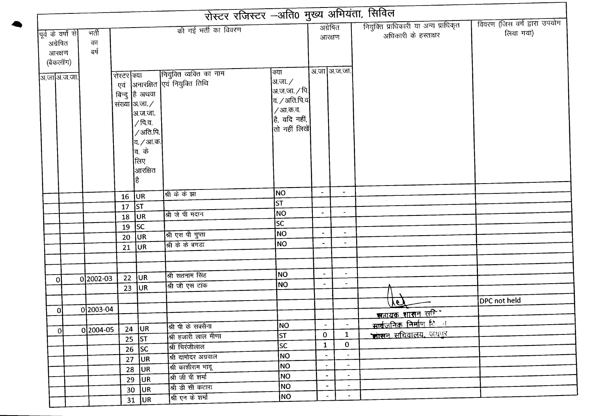|                                                      |                     | रोस्टर रजिस्टर -अति0 मुख्य अभियंता, सिविल |                                                                                                                                    |                                                             |                                                                                                                         |                          |                          |                                                               |                                           |
|------------------------------------------------------|---------------------|-------------------------------------------|------------------------------------------------------------------------------------------------------------------------------------|-------------------------------------------------------------|-------------------------------------------------------------------------------------------------------------------------|--------------------------|--------------------------|---------------------------------------------------------------|-------------------------------------------|
| पूर्व के वर्षों से<br>अग्रेषित<br>आरक्षण<br>(बैकलॉग) | भर्ती<br>का<br>बर्ष |                                           |                                                                                                                                    | की गई भर्ती का विवरण                                        |                                                                                                                         | अग्रेषित<br>आरक्षण       |                          | नियुक्ति प्राधिकारी या अन्य प्राधिकृत<br>अधिकारी के हस्ताक्षर | विवरण (जिस वर्ग द्वारा उपयोग<br>लिया गया) |
| अ.जा अ.ज.जा.                                         |                     | रोस्टर क्या                               | बिन्दु है अथवा<br>संख्या आ.जा./<br> अ.ज.जा.<br>∕ पि.व.<br>/अति.पि.<br> व. <i>/</i> आ.क.<br> व. के<br>लिए<br><b>l</b> आरक्षित<br>है | नियुक्ति व्यक्ति का नाम<br>एवं  अनारक्षित एवं नियुक्ति तिथि | क्या<br> अ.जा. ∕<br> अ.ज.जा. ∕ पि. <br>व. $\angle$ अति.पि.व $ $<br>/ आ.क.व.<br>है, यदि नहीं,<br><b>।</b> तो नहीं लिखें। |                          | अ.जा अ.ज.जा.             |                                                               |                                           |
|                                                      |                     | 16                                        | <b>JUR</b>                                                                                                                         | श्री के के झा                                               | NO                                                                                                                      | $\blacksquare$           | $\blacksquare$           |                                                               |                                           |
|                                                      |                     | 17                                        | ST                                                                                                                                 |                                                             | ST                                                                                                                      |                          |                          |                                                               |                                           |
|                                                      |                     | 18                                        | UR <sub></sub>                                                                                                                     | श्री जे पी मदान                                             | N <sub>O</sub>                                                                                                          |                          | $\overline{\phantom{a}}$ |                                                               |                                           |
|                                                      |                     | 19                                        | <b>SC</b>                                                                                                                          |                                                             | <b>SC</b>                                                                                                               |                          |                          |                                                               |                                           |
|                                                      |                     | 20                                        | <b>JUR</b>                                                                                                                         | श्री एस पी गुप्ता                                           | NO                                                                                                                      | $\blacksquare$           | $\overline{\phantom{a}}$ |                                                               |                                           |
|                                                      |                     | 21                                        | <b>JUR</b>                                                                                                                         | श्री के के बगड़ा                                            | <b>NO</b>                                                                                                               | $\overline{\phantom{a}}$ | $\overline{\phantom{a}}$ |                                                               |                                           |
|                                                      |                     |                                           |                                                                                                                                    |                                                             |                                                                                                                         |                          |                          |                                                               |                                           |
|                                                      |                     |                                           |                                                                                                                                    |                                                             |                                                                                                                         |                          |                          |                                                               |                                           |
| Οl                                                   | 0 2002-03           | 22                                        | <b>JUR</b>                                                                                                                         | श्री सतनाम सिंह                                             | NO)                                                                                                                     |                          | $\sim$                   |                                                               |                                           |
|                                                      |                     | 23                                        | <b>JUR</b>                                                                                                                         | श्री जी एस टांक                                             | <b>NO</b>                                                                                                               |                          | $\blacksquare$           |                                                               |                                           |
|                                                      |                     |                                           |                                                                                                                                    |                                                             |                                                                                                                         |                          |                          |                                                               | DPC not held                              |
|                                                      | 0 2003-04           |                                           |                                                                                                                                    |                                                             |                                                                                                                         |                          |                          | YE.                                                           |                                           |
| οl                                                   |                     |                                           |                                                                                                                                    |                                                             |                                                                                                                         |                          |                          | सहायक शासन सकिन                                               |                                           |
| -ol                                                  | 0 2004-05           |                                           | $24$ UR                                                                                                                            | श्री पी के सक्सेना                                          | NO                                                                                                                      | $\blacksquare$           | $\blacksquare$           | <u>सार्वजनिक निर्माण ि न</u>                                  |                                           |
|                                                      |                     |                                           | $\overline{25}$ ST                                                                                                                 | श्री हजारी लाल मीणा                                         | ST                                                                                                                      | $\mathbf{0}$             | $\mathbf{1}$             | <u>भासन सचिवालय, जयपुर</u>                                    |                                           |
|                                                      |                     |                                           | $26$ SC                                                                                                                            | श्री चिरंजीलाल                                              | <b>SC</b>                                                                                                               | $\mathbf{1}$             | $\mathbf{0}$             |                                                               |                                           |
|                                                      |                     |                                           | $27$ UR                                                                                                                            | श्री दामोदर अग्रवाल                                         | NO                                                                                                                      | $\blacksquare$           |                          |                                                               |                                           |
|                                                      |                     |                                           | $28$ UR                                                                                                                            | श्री काशीराम भादू                                           | NO                                                                                                                      | $\overline{\phantom{a}}$ | $\blacksquare$           |                                                               |                                           |
|                                                      |                     | 29                                        | UR                                                                                                                                 | श्री जी पी शर्मा                                            | NO                                                                                                                      | $\blacksquare$           | $\overline{\phantom{a}}$ |                                                               |                                           |
|                                                      |                     |                                           | $30$ UR                                                                                                                            | श्री डी सी कटारा                                            | NO                                                                                                                      | $\overline{\phantom{a}}$ |                          |                                                               |                                           |
|                                                      |                     |                                           | $31$ UR                                                                                                                            | श्री एन के शर्मा                                            | NO                                                                                                                      |                          | $\blacksquare$           |                                                               |                                           |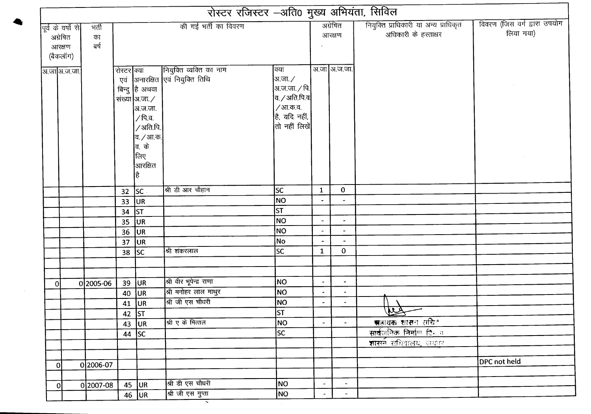|          | की गई भर्ती का विवरण<br>पूर्व के वर्षों से <br>भर्ती |             |                 |                                                                                                                               |                                                              |                                                                                                                                |                          | अग्रेषित                 | नियुक्ति प्राधिकारी या अन्य प्राधिकृत        | विवरण (जिस वर्ग द्वारा उपयोग |  |
|----------|------------------------------------------------------|-------------|-----------------|-------------------------------------------------------------------------------------------------------------------------------|--------------------------------------------------------------|--------------------------------------------------------------------------------------------------------------------------------|--------------------------|--------------------------|----------------------------------------------|------------------------------|--|
| अग्रेषित | आरक्षण<br>(बैकलॉग)                                   | का<br>ৰৰ্ষ  |                 |                                                                                                                               |                                                              |                                                                                                                                |                          | आरक्षण                   | अधिकारी के हस्ताक्षर                         | लिया गया)                    |  |
|          | .<br>अ.जा अ.ज.जा.                                    |             | रोस्टर क्या     | बिन्दु है अथवा<br>संख्या आजा. ⁄<br>अ.ज.जा.<br>$/$ पि.व.<br>/अति.पि.<br> व. <i>/</i> आ.क.<br><b>बि.</b> के<br>क्तिए<br>आरक्षित | नियुक्ति व्यक्ति का नाम<br>एवं  अनारक्षित  एवं नियुक्ति तिथि | क्या<br> अ.जा. ∕<br> अ.ज.जा. ∕ पि.<br>$a /$ अति.पि.व<br>/आ.क.व.<br>है, यदि नहीं,<br>$ \mathfrak{\mathfrak{a}} $ नहीं लिखें $ $ |                          | अ.जा अ.ज.जा.             |                                              |                              |  |
|          |                                                      |             | $32$ SC         |                                                                                                                               | श्री डी आर चौहान                                             | lsc                                                                                                                            | $\mathbf{1}$             | $\mathbf 0$              |                                              |                              |  |
|          |                                                      |             | 33 <sup>°</sup> | <b>JUR</b>                                                                                                                    |                                                              | NO                                                                                                                             |                          |                          |                                              |                              |  |
|          |                                                      |             | 34              | <b>ST</b>                                                                                                                     |                                                              | ST                                                                                                                             |                          |                          |                                              |                              |  |
|          |                                                      |             | $35$ UR         |                                                                                                                               |                                                              | NO                                                                                                                             | $\overline{\phantom{a}}$ | $\overline{\phantom{a}}$ |                                              |                              |  |
|          |                                                      |             | 36              | <b>JUR</b>                                                                                                                    |                                                              | NO                                                                                                                             | $\overline{\phantom{a}}$ | $\ddot{\phantom{1}}$     |                                              |                              |  |
|          |                                                      |             | 37              | UR                                                                                                                            |                                                              | No                                                                                                                             |                          |                          |                                              |                              |  |
|          |                                                      |             | $38$ SC         |                                                                                                                               | श्री शंकरलाल                                                 | SC                                                                                                                             | $\mathbf{1}$             | $\bf{0}$                 |                                              |                              |  |
|          |                                                      |             |                 |                                                                                                                               |                                                              |                                                                                                                                |                          |                          |                                              |                              |  |
| 0l       |                                                      | 0 2005-06   | 39              | JUR                                                                                                                           | श्री वीर भूपेन्द्र राणा                                      | ¦NO                                                                                                                            | $\overline{\phantom{a}}$ | $\overline{\phantom{a}}$ |                                              |                              |  |
|          |                                                      |             | 40              | UR                                                                                                                            | श्री मनोहर लाल माथुर                                         | NO <sub></sub>                                                                                                                 | $\blacksquare$           | $\sim$                   |                                              |                              |  |
|          |                                                      |             | 41              | UR                                                                                                                            | श्री जी एस चौधरी                                             | NO                                                                                                                             | $\blacksquare$           | $\blacksquare$           |                                              |                              |  |
|          |                                                      |             | 42 $ ST$        |                                                                                                                               |                                                              | <b>ST</b>                                                                                                                      |                          |                          | $\widehat{\mathbf{M}}$                       |                              |  |
|          |                                                      |             | 43 $ UR$        |                                                                                                                               | श्री ए के मित्तल                                             | NO                                                                                                                             |                          |                          | <u>सप्तायक शासन सचित्र</u>                   |                              |  |
|          |                                                      |             | $44$ SC         |                                                                                                                               |                                                              | lsc                                                                                                                            |                          |                          | <b>सार्व</b> जनिक निर्माण दिन <sub>ा</sub> ग |                              |  |
|          |                                                      |             |                 |                                                                                                                               |                                                              |                                                                                                                                |                          |                          | <u>शासने संचिवालय, जयान</u>                  |                              |  |
|          |                                                      |             |                 |                                                                                                                               |                                                              |                                                                                                                                |                          |                          |                                              | DPC not held                 |  |
| 0        |                                                      | 02006-07    |                 |                                                                                                                               |                                                              |                                                                                                                                |                          |                          |                                              |                              |  |
|          |                                                      |             |                 | $45$ UR                                                                                                                       | श्री डी एस चौधरी                                             | NO                                                                                                                             | $\blacksquare$           | $\blacksquare$           |                                              |                              |  |
| 0        |                                                      | $0 2007-08$ |                 | 46 $ UR $                                                                                                                     | श्री जी एस गुप्ता                                            | NO                                                                                                                             |                          | $\sim$                   |                                              |                              |  |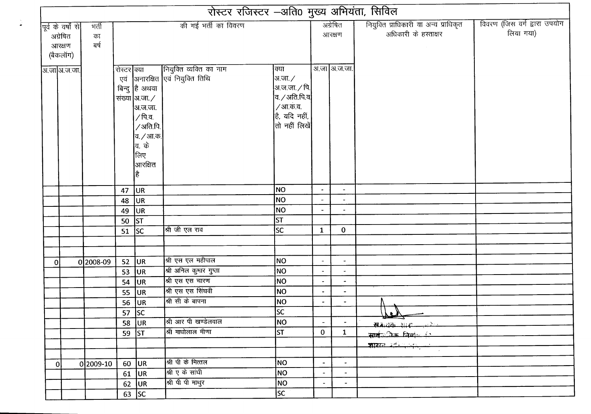|                                                      |                     |             |                                                                                                                                                     |                                                              | रोस्टर रजिस्टर -अति0 मुख्य अभियंता, सिविल                                                                                                                           |                          |                          |                                                               |                                           |
|------------------------------------------------------|---------------------|-------------|-----------------------------------------------------------------------------------------------------------------------------------------------------|--------------------------------------------------------------|---------------------------------------------------------------------------------------------------------------------------------------------------------------------|--------------------------|--------------------------|---------------------------------------------------------------|-------------------------------------------|
| पूर्व के वर्षों से<br>अग्रेषित<br>आरक्षण<br>(बैकलॉग) | भर्ती<br>का<br>बर्ष |             |                                                                                                                                                     | की गई भर्ती का विवरण                                         |                                                                                                                                                                     |                          | अग्रेषित<br>आरक्षण       | नियुक्ति प्राधिकारी या अन्य प्राधिकृत<br>अधिकारी के हस्ताक्षर | विवरण (जिस वर्ग द्वारा उपयोग<br>लिया गया) |
| अ.जा अ.ज.जा.                                         |                     | रोस्टर क्या | बिन्दु है अथवा<br>संख्या  अ.जा. /<br> अ.ज.जा.<br>$\sqrt{p}$ .व.<br>/अति.पि.<br> व. <i>/</i> आ.क.<br><b>बि.</b> के<br> लिए<br><b> </b> आरक्षित<br>है | नियुक्ति व्यक्ति का नाम<br>एवं  अनारक्षित  एवं नियुक्ति तिथि | क्या<br> अ.जा. ∕<br><mark>अ.ज.जा.<math>\sqrt{p}</math>.</mark><br>व. ⁄ अति.पि.व <b>∤</b><br>/ आ.क.व.<br>है, यदि नहीं,<br>$ \mathfrak{\mathfrak{a}} $ नहीं लिखें $ $ |                          | अ.जा अ.ज.जा.             |                                                               |                                           |
|                                                      |                     | 47          | <b>JUR</b>                                                                                                                                          |                                                              | NO                                                                                                                                                                  | $\tilde{\phantom{a}}$    | $\blacksquare$           |                                                               |                                           |
|                                                      |                     | 48          | UR                                                                                                                                                  |                                                              | Ino                                                                                                                                                                 |                          | $\overline{\phantom{a}}$ |                                                               |                                           |
|                                                      |                     | 49          | UR                                                                                                                                                  |                                                              | NO                                                                                                                                                                  | $\overline{\phantom{a}}$ | $\tilde{\phantom{a}}$    |                                                               |                                           |
|                                                      |                     | 50          | ST                                                                                                                                                  |                                                              | lst                                                                                                                                                                 |                          |                          |                                                               |                                           |
|                                                      |                     | 51 $ SC$    |                                                                                                                                                     | श्री जी एल राव                                               | <b>SC</b>                                                                                                                                                           | $\mathbf{1}$             | $\bf{0}$                 |                                                               |                                           |
| 0l                                                   | 02008-09            | 52          | UR.                                                                                                                                                 | श्री एस एल महीपाल                                            | NO                                                                                                                                                                  | $\overline{\phantom{a}}$ | $\overline{\phantom{a}}$ |                                                               |                                           |
|                                                      |                     | 53          | <b>UR</b>                                                                                                                                           | श्री अनिल कुमार गुप्ता                                       | NO                                                                                                                                                                  |                          | $\blacksquare$           |                                                               |                                           |
|                                                      |                     | 54          | <b>JUR</b>                                                                                                                                          | श्री एस एस चारण                                              | NO                                                                                                                                                                  |                          | $\overline{\phantom{a}}$ |                                                               |                                           |
|                                                      |                     | 55          | <b>JUR</b>                                                                                                                                          | श्री एस एस सिंघवी                                            | NO                                                                                                                                                                  |                          | $\blacksquare$           |                                                               |                                           |
|                                                      |                     |             | 56 JUR                                                                                                                                              | श्री सी के बापना                                             | <b>NO</b>                                                                                                                                                           | $\bullet$                | $\sim$                   | N.                                                            |                                           |
|                                                      |                     |             | 57 $ SC$                                                                                                                                            |                                                              | lsc                                                                                                                                                                 |                          |                          | L                                                             |                                           |
|                                                      |                     |             | 58 $ UR $                                                                                                                                           | श्री आर पी खण्डेलवाल                                         | NO                                                                                                                                                                  | $\blacksquare$           | $\sim$                   | संज्ञायक शास                                                  |                                           |
|                                                      |                     |             | $59$ ST                                                                                                                                             | श्री माघोलाल मीणा                                            | ST                                                                                                                                                                  | $\bf{0}$                 | $\mathbf{1}$             | <b>सान</b> ्रीक निर्माण हि                                    |                                           |
|                                                      |                     |             |                                                                                                                                                     |                                                              |                                                                                                                                                                     |                          |                          | <u>श्राघ्यन उर्दः अभिज्ञानाम्</u>                             |                                           |
|                                                      |                     |             |                                                                                                                                                     |                                                              |                                                                                                                                                                     |                          |                          |                                                               |                                           |
| 0                                                    | 0 2009-10           |             | $60$ UR                                                                                                                                             | श्री पी के मित्तल                                            | NO                                                                                                                                                                  | $\blacksquare$           | $\frac{1}{2}$            |                                                               |                                           |
|                                                      |                     |             | $61$ UR                                                                                                                                             | श्री ए के सांघी                                              | NO                                                                                                                                                                  | $\blacksquare$           | $\blacksquare$           |                                                               |                                           |
|                                                      |                     |             | 62 $ UR $                                                                                                                                           | श्री पी पी माथुर                                             | NO                                                                                                                                                                  | $\blacksquare$           | $\blacksquare$           |                                                               |                                           |
|                                                      |                     |             | $63$ SC                                                                                                                                             |                                                              | sc                                                                                                                                                                  |                          |                          |                                                               |                                           |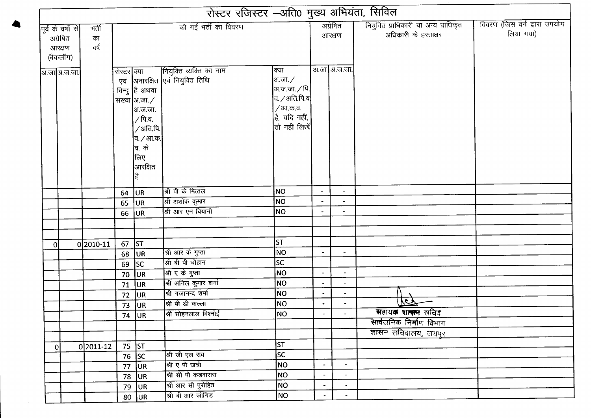|                                                      |                     |             |                                                                                                                                   | रोस्टर रजिस्टर -अति0 मुख्य अभियंता, सिविल                  |                                                                                                                   |                |                          |                                                               |                                           |
|------------------------------------------------------|---------------------|-------------|-----------------------------------------------------------------------------------------------------------------------------------|------------------------------------------------------------|-------------------------------------------------------------------------------------------------------------------|----------------|--------------------------|---------------------------------------------------------------|-------------------------------------------|
| पूर्व के वर्षों से<br>अग्रेषित<br>आरक्षण<br>(बैकलॉग) | भर्ती<br>का<br>ৰৰ্ষ |             |                                                                                                                                   | की गई भर्ती का विवरण                                       |                                                                                                                   |                | अग्रेषित<br>आरक्षण       | नियुक्ति प्राधिकारी या अन्य प्राधिकृत<br>अधिकारी के हस्ताक्षर | विवरण (जिस वर्ग द्वारा उपयोग<br>लिया गया) |
| अ.जा अ.ज.जा.                                         |                     | रोस्टर क्या | बिन्दु है अथवा<br>संख्या $ $ अ.जा. $\nearrow$<br> अ.ज.जा.<br>/ पि.व.<br>/अति.पि.<br>व. <i>/</i> आ.क.<br>वि. के<br> लिए<br>आरक्षित | नियुक्ति व्यक्ति का नाम<br>एवं अनारक्षित एवं नियुक्ति तिथि | क्या<br>अ.जा./<br>अ.ज.जा. ∕ पि.<br>व. $\angle$ अति.पि.व $ $<br>/ आ.क.व.<br>है, यदि नहीं,<br>तो नहीं लिखें $\vert$ |                | अ.जा अ.ज.जा.             |                                                               |                                           |
|                                                      |                     | 64          | UR.                                                                                                                               | श्री पी के मित्तल                                          | NO                                                                                                                |                | $\overline{\phantom{a}}$ |                                                               |                                           |
|                                                      |                     | 65          | UR                                                                                                                                | श्री अशोक कुमार                                            | NO                                                                                                                |                |                          |                                                               |                                           |
|                                                      |                     | 66          | <b>JUR</b>                                                                                                                        | श्री आर एन बियानी                                          | NO                                                                                                                |                |                          |                                                               |                                           |
|                                                      |                     |             |                                                                                                                                   |                                                            |                                                                                                                   |                |                          |                                                               |                                           |
|                                                      |                     |             |                                                                                                                                   |                                                            |                                                                                                                   |                |                          |                                                               |                                           |
| <sup>0</sup>                                         | 0 2010-11           | 67          | <b>ST</b>                                                                                                                         |                                                            | ST                                                                                                                |                |                          |                                                               |                                           |
|                                                      |                     | 68          | <b>JUR</b>                                                                                                                        | श्री आर के गुप्ता                                          | NO                                                                                                                |                | $\overline{\phantom{a}}$ |                                                               |                                           |
|                                                      |                     | 69          | sc                                                                                                                                | श्री बी पी चौहान                                           | <b>SC</b>                                                                                                         |                |                          |                                                               |                                           |
|                                                      |                     | 70          | <b>JUR</b>                                                                                                                        | श्री ए के गुप्ता                                           | NO                                                                                                                |                | $\blacksquare$           |                                                               |                                           |
|                                                      |                     | 71          | <b>JUR</b>                                                                                                                        | श्री अनिल कुमार शर्मा                                      | NO                                                                                                                | $\bullet$      | $\overline{\phantom{a}}$ |                                                               |                                           |
|                                                      |                     | 72          | UR                                                                                                                                | श्री गजानन्द शर्मा                                         | <b>NO</b>                                                                                                         |                | ٠                        |                                                               |                                           |
|                                                      |                     | 73          | UR                                                                                                                                | श्री बी डी कल्ला                                           | NO                                                                                                                | $\blacksquare$ |                          | $\overline{\mathcal{M}}$                                      |                                           |
|                                                      |                     |             | 74 UR                                                                                                                             | श्री सोहनलाल विश्नोई                                       | NO                                                                                                                |                |                          | सहायक शा <del>का</del> सचिव                                   |                                           |
|                                                      |                     |             |                                                                                                                                   |                                                            |                                                                                                                   |                |                          | सार्वजनिक निर्माण विभाग                                       |                                           |
|                                                      |                     |             |                                                                                                                                   |                                                            |                                                                                                                   |                |                          | शासन सचिवालय, जयपुर                                           |                                           |
| $\overline{0}$                                       | 0 2011-12           |             | 75 ST                                                                                                                             |                                                            | ST                                                                                                                |                |                          |                                                               |                                           |
|                                                      |                     | 76          | SC                                                                                                                                | श्री जी एल राव                                             | lsc                                                                                                               |                |                          |                                                               |                                           |
|                                                      |                     | 77          | <b>JUR</b>                                                                                                                        | <br>अप्ति ए पी खत्री                                       | <b>NO</b>                                                                                                         | $\blacksquare$ | $\bullet$                |                                                               |                                           |
|                                                      |                     | 78          | UR.                                                                                                                               | श्री सी पी कडवासरा                                         | NO                                                                                                                |                | $\overline{\phantom{a}}$ |                                                               |                                           |
|                                                      |                     | 79          | UR.                                                                                                                               | श्री आर सी पुरोहित                                         | NO                                                                                                                | $\bullet$      |                          |                                                               |                                           |
|                                                      |                     |             | $80$ UR                                                                                                                           | श्री बी आर जांगिड                                          | NO                                                                                                                |                |                          |                                                               |                                           |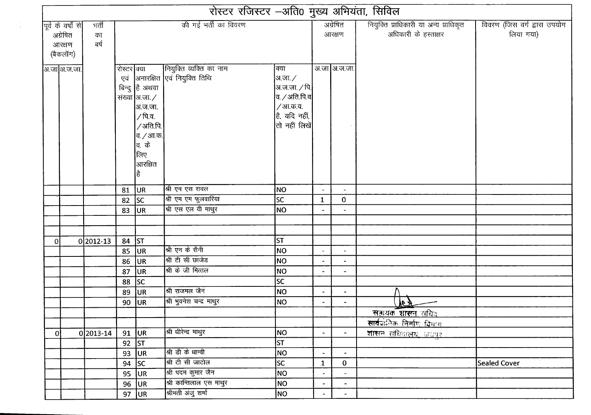|    |                                                      |                     |             |                                                                                                                              | रोस्टर रजिस्टर -अति0 मुख्य अभियंता, सिविल                  |                                                                                                                         |                          |                          |                                                               |                                           |  |
|----|------------------------------------------------------|---------------------|-------------|------------------------------------------------------------------------------------------------------------------------------|------------------------------------------------------------|-------------------------------------------------------------------------------------------------------------------------|--------------------------|--------------------------|---------------------------------------------------------------|-------------------------------------------|--|
|    | पूर्व के वर्षों से<br>अग्रेषित<br>आरक्षण<br>(बैकलॉग) | भर्ती<br>का<br>ৰৰ্ষ |             |                                                                                                                              | की गई भर्ती का विवरण                                       |                                                                                                                         | अग्रेषित<br>आरक्षण       |                          | नियुक्ति प्राधिकारी या अन्य प्राधिकृत<br>अधिकारी के हस्ताक्षर | विवरण (जिस वर्ग द्वारा उपयोग<br>लिया गया) |  |
|    | आ़जा]अ.ज.जा.                                         |                     | रोस्टर क्या | बिन्दु है अथवा<br>संख्या आ.जा. $\angle$<br> अ.ज.जा.<br>∕ पि.व.<br>∕ अति.पि.<br>व. / आ.क.<br>वि. के<br>लिए<br> आरक्षित<br> है | नियुक्ति व्यक्ति का नाम<br>एवं अनारक्षित एवं नियुक्ति तिथि | क्या<br> अ.जा. $\angle$<br> अ.ज.जा. ∕ पि. <br>$ $ व. $\angle$ अति.पि.व $ $<br>/आ.क.व.<br>है, यदि नहीं,<br>तो नहीं लिखें |                          | अ.जा अ.ज.जा.             |                                                               |                                           |  |
|    |                                                      |                     | 81          | ∪R                                                                                                                           | श्री एम एस रावल                                            | NO                                                                                                                      |                          |                          |                                                               |                                           |  |
|    |                                                      |                     | 82          | lsc                                                                                                                          | श्री एम एम फुलवारिया                                       | lsc                                                                                                                     | $\mathbf{1}$             | 0                        |                                                               |                                           |  |
|    |                                                      |                     | 83          | <b>JUR</b>                                                                                                                   | श्री एस एल वी माथुर                                        | NO                                                                                                                      |                          | $\blacksquare$           |                                                               |                                           |  |
|    |                                                      |                     |             |                                                                                                                              |                                                            |                                                                                                                         |                          |                          |                                                               |                                           |  |
|    |                                                      |                     |             |                                                                                                                              |                                                            |                                                                                                                         |                          |                          |                                                               |                                           |  |
| οl |                                                      | $0 2012-13$         | 84          | ST                                                                                                                           |                                                            | <b>ST</b>                                                                                                               |                          |                          |                                                               |                                           |  |
|    |                                                      |                     | 85          | <b>JUR</b>                                                                                                                   | श्री एन के सैनी                                            | NO                                                                                                                      |                          | $\blacksquare$           |                                                               |                                           |  |
|    |                                                      |                     | 86          | UR                                                                                                                           | श्री टी सी छाजेड                                           | <b>NO</b>                                                                                                               |                          | $\overline{\phantom{a}}$ |                                                               |                                           |  |
|    |                                                      |                     | 87          | <b>JUR</b>                                                                                                                   | श्री के जी मित्तल                                          | NO                                                                                                                      |                          | $\overline{\phantom{a}}$ |                                                               |                                           |  |
|    |                                                      |                     | 88          | SC                                                                                                                           |                                                            | <b>SC</b>                                                                                                               |                          |                          |                                                               |                                           |  |
|    |                                                      |                     | 89          | <b>JUR</b>                                                                                                                   | श्री राजमल जैन                                             | NO                                                                                                                      |                          |                          |                                                               |                                           |  |
|    |                                                      |                     |             | $90$ UR                                                                                                                      | श्री भुवनेश चन्द्र माथुर                                   | <b>NO</b>                                                                                                               | $\blacksquare$           |                          | <u>JET</u>                                                    |                                           |  |
|    |                                                      |                     |             |                                                                                                                              |                                                            |                                                                                                                         |                          |                          | <u>सहायक शासन सचिव</u>                                        |                                           |  |
|    |                                                      |                     |             |                                                                                                                              |                                                            |                                                                                                                         |                          |                          | <u>सार्वजनिक निर्माण विभाग </u>                               |                                           |  |
| 0  |                                                      | $0 2013-14$         | 91          | UR                                                                                                                           | श्री धीरेन्द्र माथुर                                       | NO.                                                                                                                     | $\overline{\phantom{a}}$ | $\overline{\phantom{a}}$ | <u>शासन सचिवालय, जयपुर</u>                                    |                                           |  |
|    |                                                      |                     |             | $92$ ST                                                                                                                      |                                                            | <b>ST</b>                                                                                                               |                          |                          |                                                               |                                           |  |
|    |                                                      |                     |             | 93 JUR                                                                                                                       | श्री डी के धान्वी                                          | <b>NO</b>                                                                                                               |                          | $\blacksquare$           |                                                               |                                           |  |
|    |                                                      |                     |             | 94 $ SC$                                                                                                                     | श्री टी सी जाटोल                                           | $ \overline{sc} $                                                                                                       | $\mathbf{1}$             | $\mathbf{0}$             |                                                               | <b>Sealed Cover</b>                       |  |
|    |                                                      |                     |             | $95$ UR                                                                                                                      | श्री पदम कुमार जैन                                         | NO                                                                                                                      |                          | $\frac{1}{2}$            |                                                               |                                           |  |
|    |                                                      |                     |             | $96$ UR                                                                                                                      | श्री कान्तिलाल एस माथुर                                    | NO                                                                                                                      | ÷.                       | $\blacksquare$           |                                                               |                                           |  |
|    |                                                      |                     |             | 97 $ UR $                                                                                                                    | श्रीमती अंजु शर्मा                                         | NO                                                                                                                      |                          | $\blacksquare$           |                                                               |                                           |  |

 $\frac{1}{2}$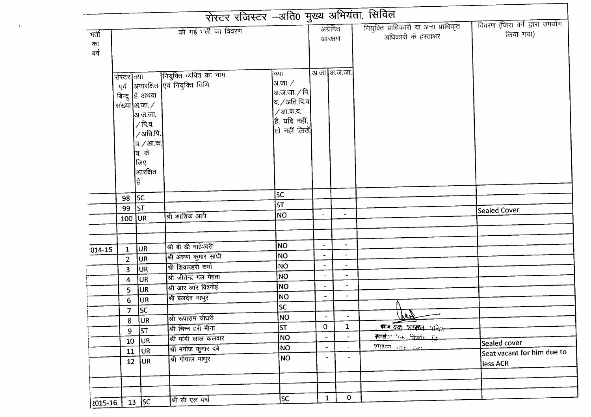| मर्ती<br>का<br>ৰৰ্ষ<br>रोस्टर क्या<br>एवं<br>98<br>99<br>$100$ UR<br>$\mathbf{1}$<br>$1014 - 15$<br>$\overline{2}$<br>3<br>4<br>5<br>6<br>7 <sup>7</sup><br>8<br>9 | बिन्दु है अथवा<br>संख्या $\vert$ अ.जा. $\angle$<br> अ.ज.जा.<br>∕ पि.व.<br>/अति.पि.<br> व. <i>/</i> आ.क.<br><b>बि.</b> के<br>लिए<br>आरक्षित<br>है<br><b>SC</b><br><b>ST</b> | की गई भर्ती का विवरण<br>र क्या जियुक्ति व्यक्ति का नाम<br> <br> अनारक्षित एवं नियुक्ति तिथि<br>श्री आशिक अली | क्या<br> अ.जा. ∕<br> अ.ज.जा. ∕ पि. <br>$ $ व / अति.पि.व $ $<br>/आ.क.व.<br>$\vert$ है, यदि नहीं,<br>तो नहीं लिखें<br>lsc<br> ST <br>NO <sub></sub> | अग्रेषित<br>आरक्षण<br>अ.जा अ.ज.जा.<br>$\blacksquare$ | $\blacksquare$           | नियुक्ति प्राधिकारी या अन्य प्राधिकृत<br>अधिकारी के हस्ताक्षर | विवरण (जिस वर्ग द्वारा उपयोग<br>लिया गया)<br>Sealed Cover |
|--------------------------------------------------------------------------------------------------------------------------------------------------------------------|----------------------------------------------------------------------------------------------------------------------------------------------------------------------------|--------------------------------------------------------------------------------------------------------------|---------------------------------------------------------------------------------------------------------------------------------------------------|------------------------------------------------------|--------------------------|---------------------------------------------------------------|-----------------------------------------------------------|
|                                                                                                                                                                    |                                                                                                                                                                            |                                                                                                              |                                                                                                                                                   |                                                      |                          |                                                               |                                                           |
|                                                                                                                                                                    |                                                                                                                                                                            |                                                                                                              |                                                                                                                                                   |                                                      |                          |                                                               |                                                           |
|                                                                                                                                                                    |                                                                                                                                                                            |                                                                                                              |                                                                                                                                                   |                                                      |                          |                                                               |                                                           |
|                                                                                                                                                                    |                                                                                                                                                                            |                                                                                                              |                                                                                                                                                   |                                                      |                          |                                                               |                                                           |
|                                                                                                                                                                    |                                                                                                                                                                            |                                                                                                              |                                                                                                                                                   |                                                      |                          |                                                               |                                                           |
|                                                                                                                                                                    |                                                                                                                                                                            |                                                                                                              |                                                                                                                                                   |                                                      |                          |                                                               |                                                           |
|                                                                                                                                                                    |                                                                                                                                                                            |                                                                                                              |                                                                                                                                                   |                                                      |                          |                                                               |                                                           |
|                                                                                                                                                                    |                                                                                                                                                                            |                                                                                                              |                                                                                                                                                   |                                                      |                          |                                                               |                                                           |
|                                                                                                                                                                    |                                                                                                                                                                            |                                                                                                              |                                                                                                                                                   |                                                      |                          |                                                               |                                                           |
|                                                                                                                                                                    |                                                                                                                                                                            |                                                                                                              |                                                                                                                                                   |                                                      |                          |                                                               |                                                           |
|                                                                                                                                                                    |                                                                                                                                                                            |                                                                                                              |                                                                                                                                                   |                                                      |                          |                                                               |                                                           |
|                                                                                                                                                                    |                                                                                                                                                                            |                                                                                                              |                                                                                                                                                   |                                                      |                          |                                                               |                                                           |
|                                                                                                                                                                    |                                                                                                                                                                            |                                                                                                              |                                                                                                                                                   |                                                      |                          |                                                               |                                                           |
|                                                                                                                                                                    |                                                                                                                                                                            |                                                                                                              |                                                                                                                                                   |                                                      |                          |                                                               |                                                           |
|                                                                                                                                                                    |                                                                                                                                                                            |                                                                                                              |                                                                                                                                                   |                                                      |                          |                                                               |                                                           |
|                                                                                                                                                                    |                                                                                                                                                                            |                                                                                                              |                                                                                                                                                   |                                                      |                          |                                                               |                                                           |
|                                                                                                                                                                    |                                                                                                                                                                            |                                                                                                              |                                                                                                                                                   |                                                      |                          |                                                               |                                                           |
|                                                                                                                                                                    |                                                                                                                                                                            |                                                                                                              |                                                                                                                                                   |                                                      |                          |                                                               |                                                           |
|                                                                                                                                                                    |                                                                                                                                                                            |                                                                                                              |                                                                                                                                                   |                                                      |                          |                                                               |                                                           |
|                                                                                                                                                                    |                                                                                                                                                                            |                                                                                                              |                                                                                                                                                   |                                                      | $\tilde{\phantom{a}}$    |                                                               |                                                           |
|                                                                                                                                                                    | <b>JUR</b>                                                                                                                                                                 | श्री बी डी माहेश्वरी                                                                                         | <b>NO</b><br><b>NO</b>                                                                                                                            | $\blacksquare$<br>$\bullet$                          | $\blacksquare$           |                                                               |                                                           |
|                                                                                                                                                                    | <b>JUR</b>                                                                                                                                                                 | श्री अरुण कुमार सांघी                                                                                        | <b>NO</b>                                                                                                                                         | $\overline{\phantom{a}}$                             | $\blacksquare$           |                                                               |                                                           |
|                                                                                                                                                                    | <b>JUR</b>                                                                                                                                                                 | श्री शिवलहरी शर्मा                                                                                           | NO                                                                                                                                                | $\blacksquare$                                       | $\blacksquare$           |                                                               |                                                           |
|                                                                                                                                                                    | UR                                                                                                                                                                         | श्री जीतेन्द्र मल मेहता<br>श्री आर आर विश्नोई                                                                | <b>NO</b>                                                                                                                                         | $\overline{\phantom{a}}$                             | $\overline{\phantom{a}}$ |                                                               |                                                           |
|                                                                                                                                                                    | UR                                                                                                                                                                         | श्री बलदेव माथुर                                                                                             | <b>NO</b>                                                                                                                                         | $\qquad \qquad \blacksquare$                         | ۰                        |                                                               |                                                           |
|                                                                                                                                                                    | UR                                                                                                                                                                         |                                                                                                              | lsc                                                                                                                                               |                                                      |                          |                                                               |                                                           |
|                                                                                                                                                                    | SC                                                                                                                                                                         | श्री रूपाराम चौधरी                                                                                           | NO)                                                                                                                                               |                                                      |                          | <u> Jel</u>                                                   |                                                           |
|                                                                                                                                                                    | UR.<br><b>ST</b>                                                                                                                                                           | श्री चिन्न हरी मीना                                                                                          | lst                                                                                                                                               | $\mathbf{O}$                                         | $\mathbf{1}$             | समग्रक शासन माने                                              |                                                           |
|                                                                                                                                                                    | UR.                                                                                                                                                                        | श्री मांगी लाल कलवार                                                                                         | NO                                                                                                                                                | $\overline{\phantom{a}}$                             | $\blacksquare$           | <u>सार्वत के निर्णा हिं</u>                                   |                                                           |
| ${\bf 10}$<br>11                                                                                                                                                   | <b>JUR</b>                                                                                                                                                                 | श्री मनोज कुमार दबे                                                                                          | NO                                                                                                                                                | $\overline{\phantom{a}}$                             | $\blacksquare$           | <u>शासन जातिकाचा</u>                                          | Sealed cover                                              |
|                                                                                                                                                                    | $12$ UR                                                                                                                                                                    | श्री गोपाल माथुर                                                                                             | NO.                                                                                                                                               | ۰                                                    | $\overline{\phantom{a}}$ |                                                               | Seat vacant for him due to                                |
|                                                                                                                                                                    |                                                                                                                                                                            |                                                                                                              |                                                                                                                                                   |                                                      |                          |                                                               | less ACR                                                  |
|                                                                                                                                                                    |                                                                                                                                                                            |                                                                                                              |                                                                                                                                                   |                                                      |                          |                                                               |                                                           |
|                                                                                                                                                                    |                                                                                                                                                                            |                                                                                                              |                                                                                                                                                   |                                                      |                          |                                                               |                                                           |

 $\mathbf{y}$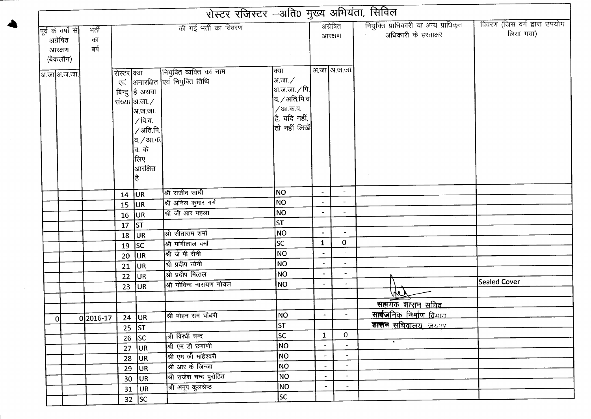|                    |           |             |                  |                                 | रोस्टर रजिस्टर -अति0 मुख्य अभियंता, सिविल |                          |                          |                                       |                              |
|--------------------|-----------|-------------|------------------|---------------------------------|-------------------------------------------|--------------------------|--------------------------|---------------------------------------|------------------------------|
| पूर्व के वर्षों से | मर्ती     |             |                  | की गई भर्ती का विवरण            |                                           |                          | अग्रेषित                 | नियुक्ति प्राधिकारी या अन्य प्राधिकृत | विवरण (जिस वर्ग द्वारा उपयोग |
| अग्रेषित           | का        |             |                  |                                 |                                           |                          | आरक्षण                   | अधिकारी के हस्ताक्षर                  | लिया गया)                    |
| आरक्षण             | बर्ष      |             |                  |                                 |                                           |                          |                          |                                       |                              |
| (बैकलॉग)           |           |             |                  |                                 |                                           |                          |                          |                                       |                              |
|                    |           | रोस्टर क्या |                  | नियुक्ति व्यक्ति का नाम         | क्या                                      |                          | अ.जा अ.ज.जा.             |                                       |                              |
| ञ.जा अ.ज.जा.       |           |             |                  | एवं अनारक्षित एवं नियुक्ति तिथि | अ.जा. /                                   |                          |                          |                                       |                              |
|                    |           |             | बिन्दु हि अथवा   |                                 | $\left $ अ.ज.जा. $\left/$ पि. $\right $   |                          |                          |                                       |                              |
|                    |           |             | संख्या अ.जा. /   |                                 | व. / अति.पि.व $\vert$                     |                          |                          |                                       |                              |
|                    |           |             | अ.ज.जा.          |                                 | / आ.क.व.                                  |                          |                          |                                       |                              |
|                    |           |             | /पि.व.           |                                 | है, यदि नहीं,                             |                          |                          |                                       |                              |
|                    |           |             | /अति.पि.         |                                 | तो नहीं लिखें                             |                          |                          |                                       |                              |
|                    |           |             | व. <i>/</i> आ.क. |                                 |                                           |                          |                          |                                       |                              |
|                    |           |             | <b>बि.</b> के    |                                 |                                           |                          |                          |                                       |                              |
|                    |           |             | लिए              |                                 |                                           |                          |                          |                                       |                              |
|                    |           |             | आरक्षित          |                                 |                                           |                          |                          |                                       |                              |
|                    |           |             | है               |                                 |                                           |                          |                          |                                       |                              |
|                    |           | 14          | <b>JUR</b>       | श्री राजीव सांघी                | NO                                        |                          | $\overline{\phantom{a}}$ |                                       |                              |
|                    |           | 15          | UR               | श्री अनिल कुमार गर्ग            | NO                                        |                          | $\overline{\phantom{a}}$ |                                       |                              |
|                    |           |             | $16$ UR          | श्री जी आर महला                 | NO                                        |                          | $\overline{\phantom{a}}$ |                                       |                              |
|                    |           | 17          | ST               |                                 | lst.                                      |                          |                          |                                       |                              |
|                    |           | 18          | UR               | श्री सीताराम शर्मा              | <b>NO</b>                                 | $\blacksquare$           | $\overline{\phantom{a}}$ |                                       |                              |
|                    |           | 19          | <b>SC</b>        | श्री मांगीलाल वर्मा             | SC                                        | $\mathbf{1}$             | $\mathbf 0$              |                                       |                              |
|                    |           | 20          | UR               | श्री जे पी सैनी                 | NO                                        | $\overline{\phantom{a}}$ | $\blacksquare$           |                                       |                              |
|                    |           | 21          | UR               | श्री प्रदीप सोनी                | NO                                        | $\blacksquare$           | $\blacksquare$           |                                       |                              |
|                    |           | 22          | <b>JUR</b>       | श्री प्रदीप मित्तल              | <b>NO</b>                                 | $\blacksquare$           | $\overline{\phantom{a}}$ |                                       |                              |
|                    |           | 23          | UR               | श्री गोविन्द नारायण गोयल        | NO                                        |                          |                          |                                       | <b>Sealed Cover</b>          |
|                    |           |             |                  |                                 |                                           |                          |                          | 啊                                     |                              |
|                    |           |             |                  |                                 |                                           |                          |                          | सहायक शासन सचि <del>व</del>           |                              |
| 0                  | 0 2016-17 | 24          | <sub>UR</sub>    | श्री मोहन राम चौधरी             | NO                                        |                          |                          | <b>सार्वज</b> निक निर्माण विभाग       |                              |
|                    |           | 25          | ST               |                                 | ST                                        |                          |                          | <u>शासन सचिवालय, जयदम</u>             |                              |
|                    |           | 26          | <b>SC</b>        | श्री विरधी चन्द                 | $\overline{SC}$                           | $\mathbf{1}$             | $\overline{0}$           | $\bullet$                             |                              |
|                    |           | 27          | <b>JUR</b>       | श्री एम डी छगांणी               | NO                                        | $\blacksquare$           | $\blacksquare$           |                                       |                              |
|                    |           | 28          | UR.              | श्री एम जी माहेश्वरी            | NO                                        |                          | $\overline{\phantom{a}}$ |                                       |                              |
|                    |           | 29          | <b>JUR</b>       | श्री आर के जिन्जा               | NO.                                       |                          |                          |                                       |                              |
|                    |           | 30          | <b>UR</b>        | श्री राजेश चन्द पुरोहित         | NO                                        | $\blacksquare$           | $\bullet$                |                                       |                              |
|                    |           |             | $31$ UR          | श्री अनूप कुलश्रेष्ठ            | NO                                        | $\blacksquare$           | $\sim$                   |                                       |                              |
|                    |           |             | $32$ SC          |                                 | SC.                                       |                          |                          |                                       |                              |

 $\sim$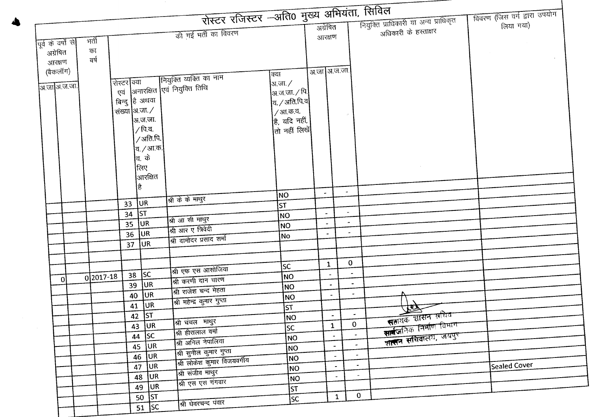| रोस्टर रजिस्टर –अति0 मुख्य अभियंता, सिविल                  |                                  |                          |                                       | नियुक्ति प्राधिकारी या अन्य प्राधिकृत | विवरण (जिस वर्ग द्वारा उपयोग |
|------------------------------------------------------------|----------------------------------|--------------------------|---------------------------------------|---------------------------------------|------------------------------|
| की गई भर्ती का विवरण                                       |                                  | अंग्रेषित                |                                       | अधिकारी के हस्ताक्षर                  | लिया गया)                    |
| मती<br>पूर्व के वर्षों से                                  |                                  | आरक्षण                   |                                       |                                       |                              |
| का<br>अग्रेषित                                             |                                  |                          |                                       |                                       |                              |
| बर्ष<br>आरक्षण                                             |                                  |                          |                                       |                                       |                              |
| (बैकलॉग)                                                   |                                  | अ.जा अ.ज.जा.             |                                       |                                       |                              |
| नियुक्ति व्यक्ति का नाम<br> रोस्टर क्या                    | क्या<br>अ.जा. /                  |                          |                                       |                                       |                              |
| <u>अ.जा</u>  अ.ज.जा. <br>एवं  अनारक्षित  एवं नियुक्ति तिथि | अ.ज.जा. ∕ पि                     |                          |                                       |                                       |                              |
| बिन्दु है अथवा                                             | $ $ व / अति.पि.व $ $             |                          |                                       |                                       |                              |
| संख्या अ.जा. /                                             | / आ.क.व.                         |                          |                                       |                                       |                              |
| अ.ज.जा.                                                    | है, यदि नहीं,                    |                          |                                       |                                       |                              |
| ∕ पि.व.                                                    | $\left $ तो नहीं लिखें $\right $ |                          |                                       |                                       |                              |
| /अति.पि. $^{\prime}$                                       |                                  |                          |                                       |                                       |                              |
| व. <i>/</i> आ.क.                                           |                                  |                          |                                       |                                       |                              |
| <b> त. के</b>                                              |                                  |                          |                                       |                                       |                              |
| लिए                                                        |                                  |                          |                                       |                                       |                              |
| आरक्षित                                                    |                                  |                          |                                       |                                       |                              |
| है                                                         |                                  | $\bullet$                | $\sim$                                |                                       |                              |
| श्री के के माथुर<br><b>JUR</b><br>33 <sup>°</sup>          | NO                               |                          |                                       |                                       |                              |
| ST                                                         | <b>ST</b>                        | $\overline{\phantom{a}}$ |                                       |                                       |                              |
| 34<br>श्री आ सी माथुर<br><b>JUR</b>                        | NO                               |                          | $\overline{\phantom{a}}$              |                                       |                              |
| 35<br>श्री आर ए त्रिवेदी<br><b>JUR</b>                     | NO                               |                          |                                       |                                       |                              |
| 36<br>श्री दामोदर प्रसाद शर्मा<br>UR                       | No                               |                          |                                       |                                       |                              |
| 37                                                         |                                  |                          |                                       |                                       |                              |
|                                                            |                                  |                          | $\mathbf{O}$                          |                                       |                              |
| श्री एफ एस आसोजिया                                         | <b>SC</b>                        | $\mathbf{1}$             | $\tilde{\phantom{a}}$                 |                                       |                              |
| sc<br>38<br>$0$  2017-18<br>0l<br>श्री करणी दान चारण       | \NO                              | $\tilde{\phantom{a}}$    | $\rightarrow$                         |                                       |                              |
| <b>JUR</b><br>39<br>श्री राजेश चन्द मेहता                  | NO                               | $\blacksquare$           | $\overline{\phantom{a}}$              |                                       |                              |
| <b>JUR</b><br>40<br>श्री महेन्द्र कुमार गुप्ता             | NO <sub></sub>                   |                          |                                       |                                       |                              |
| UR<br>41                                                   | <b>ST</b>                        |                          |                                       |                                       |                              |
| $42$ ST<br>श्री चंचल माथुर                                 | <b>NO</b>                        | $\overline{\phantom{a}}$ | $\tilde{\phantom{a}}$<br>$\mathbf{0}$ | सत्तायक शासन सचिव                     |                              |
| $\overline{43}$ UR<br>श्री हीरालाल वर्मा                   | SC                               | $\mathbf{1}$             |                                       | सार्वजनिक निर्माण विमाग               |                              |
| $44$ SC<br>श्री अनिल नेपालिया                              | NO                               | $\sim$                   |                                       | शासन सचिवालय, जयपुर                   |                              |
| $45$ UR<br>श्री सुनील कुमार गुप्ता                         | <b>NO</b>                        |                          | $\omega_{\rm{eff}}$                   |                                       |                              |
| UR.<br>46<br>श्री लोकेश कुमार विजयवर्गीय                   | NO                               |                          | $\sim$                                |                                       |                              |
| UR.<br>47<br>श्री संजीव माथुर                              | NO                               | $\blacksquare$           | $\bullet$                             |                                       | Sealed Cover                 |
| <b>JUR</b><br>48<br>श्री एस एस गंगवार                      | NO                               | $\overline{\phantom{0}}$ | $\overline{\phantom{a}}$              |                                       |                              |
| 49 UR                                                      | ST                               |                          |                                       |                                       |                              |
| $50$ ST<br>श्री घेवरचन्द पंवार                             | <b>SC</b>                        | $\mathbf{1}$             | $\mathbf{0}$                          |                                       |                              |
| $51$ SC                                                    |                                  |                          |                                       |                                       |                              |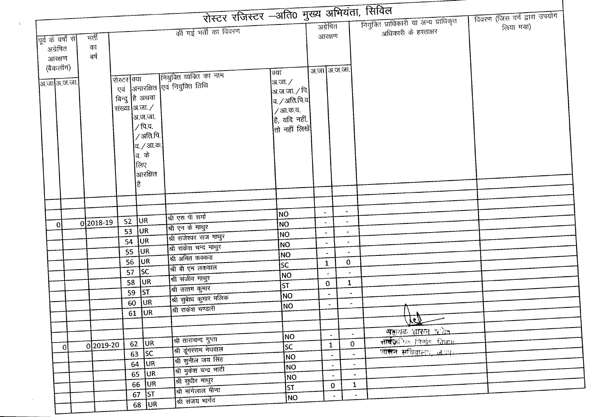|                    |       |           |             |                    | रोस्टर रजिस्टर –अति0 मुख्य अभियंता, सिविल |                                                   |                          |                                |                                       |                              |  |
|--------------------|-------|-----------|-------------|--------------------|-------------------------------------------|---------------------------------------------------|--------------------------|--------------------------------|---------------------------------------|------------------------------|--|
|                    |       |           |             |                    |                                           |                                                   | अग्रेषित                 |                                | नियुक्ति प्राधिकारी या अन्य प्राधिकृत | विवरण (जिस वर्ग द्वारा उपयोग |  |
|                    |       |           |             |                    | की गई भर्ती का विवरण                      |                                                   | आरक्षण                   |                                | अधिकारी के हस्ताक्षर                  | लिया गया)                    |  |
| पूर्व के वर्षों से | मर्ती |           |             |                    |                                           |                                                   |                          |                                |                                       |                              |  |
| अग्रेषित           | का    | बर्ष      |             |                    |                                           |                                                   |                          |                                |                                       |                              |  |
| आरक्षण             |       |           |             |                    |                                           |                                                   |                          |                                |                                       |                              |  |
| (बैकलॉग)           |       |           |             |                    | नियुक्ति व्यक्ति का नाम                   | क्या                                              | अ.जा अ.ज.जा.             |                                |                                       |                              |  |
| अ.जा अ.ज.जा.       |       |           | रोस्टर क्या |                    | अनारक्षित एवं नियुक्ति तिथि               | अ.जा. $\angle$                                    |                          |                                |                                       |                              |  |
|                    |       |           | एवं         | बिन्दु हि अथवा     |                                           | अ.ज.जा. ⁄ पि.                                     |                          |                                |                                       |                              |  |
|                    |       |           |             | संख्या आ.जा. /     |                                           | व. $\mathcal{A}$ अति.पि.व $ $                     |                          |                                |                                       |                              |  |
|                    |       |           |             | अ.ज.जा.            |                                           | / आ.क.व.                                          |                          |                                |                                       |                              |  |
|                    |       |           |             | /पि.व.             |                                           | है, यदि नहीं,<br>$\left $ तो नहीं लिखें $\right $ |                          |                                |                                       |                              |  |
|                    |       |           |             | /अति.पि.           |                                           |                                                   |                          |                                |                                       |                              |  |
|                    |       |           |             | व. <i>/</i> आ.क.   |                                           |                                                   |                          |                                |                                       |                              |  |
|                    |       |           |             | व. के              |                                           |                                                   |                          |                                |                                       |                              |  |
|                    |       |           |             | लिए                |                                           |                                                   |                          |                                |                                       |                              |  |
|                    |       |           |             | आरक्षित            |                                           |                                                   |                          |                                |                                       |                              |  |
|                    |       |           |             | ∣है                |                                           |                                                   |                          |                                |                                       |                              |  |
|                    |       |           |             |                    |                                           |                                                   |                          |                                |                                       |                              |  |
|                    |       |           |             |                    |                                           |                                                   |                          | $\overline{\phantom{a}}$       |                                       |                              |  |
|                    |       |           | 52          | UR                 | श्री एस पी शर्मा                          | NO                                                |                          | $\hat{\phantom{a}}$            |                                       |                              |  |
| $\Omega$           |       | 0 2018-19 | 53          | <b>JUR</b>         | श्री एन के माथुर                          | NO                                                |                          | $\overline{\phantom{a}}$       |                                       |                              |  |
|                    |       |           | 54          | <b>JUR</b>         | श्री राजेश्वर राज माथुर                   | NO.                                               |                          |                                |                                       |                              |  |
|                    |       |           | 55          | <b>JUR</b>         | श्री राकेश चन्द माथुर                     | <b>NO</b>                                         | $\tilde{\phantom{a}}$    | $\overline{\phantom{a}}$       |                                       |                              |  |
|                    |       |           | 56          | <b>JUR</b>         | श्री अमित कक्कड                           | NO                                                | $\blacksquare$           | $\mathbf{0}$                   |                                       |                              |  |
|                    |       |           | 57          | SC                 | श्री बी एम लकवाल                          | <b>SC</b>                                         | $\mathbf{1}$             |                                |                                       |                              |  |
|                    |       |           |             | 58 JUR             | श्री संजीव माथुर                          | NO                                                |                          |                                |                                       |                              |  |
|                    |       |           | 59          | ST                 | श्री उत्तम कुमार                          | st                                                | $\mathbf{0}$             | $\mathbf{1}$<br>$\blacksquare$ |                                       |                              |  |
|                    |       |           | 60          | <b>JUR</b>         | श्री सुबेाध कुमार मलिक                    | NO                                                | $\overline{\phantom{a}}$ | $\overline{\phantom{a}}$       |                                       |                              |  |
|                    |       |           |             | $61$ UR            | श्री राकेश भण्डारी                        | <b>NO</b>                                         | $\overline{\phantom{a}}$ |                                | $\mathbf{A}$                          |                              |  |
|                    |       |           |             |                    |                                           |                                                   |                          |                                | Jel                                   |                              |  |
|                    |       |           |             |                    |                                           |                                                   |                          | $\blacksquare$                 | <u>सङ्घयक शासन अधिव</u>               |                              |  |
|                    |       |           | 62          | <b>JUR</b>         | श्री ताराचन्द गुप्ता                      | NO                                                | $\blacksquare$           | $\mathbf 0$                    | सार्वज <b>िल</b> निर्माण विभाग        |                              |  |
| -OI                |       | 0 2019-20 |             | $\overline{63}$ SC | श्री डूंगरराम मेघवाल                      | sc                                                | $\mathbf{1}$             | $\overline{\phantom{a}}$       | <u>शासनं सचिवालयं, जयप</u> ्र         |                              |  |
|                    |       |           |             | $64$ UR            | श्री सुनील जय सिंह                        | NO)                                               | $\overline{\phantom{a}}$ | $\blacksquare$                 |                                       |                              |  |
|                    |       |           |             | $65$ UR            | श्री मुकेश चन्द्र भाटी                    | NO.                                               | $\blacksquare$           | $\overline{\phantom{a}}$       |                                       |                              |  |
|                    |       |           |             | $66$ UR            | श्री सुधीर माथुर                          | NO                                                | $\blacksquare$           | $\mathbf{1}$                   |                                       |                              |  |
|                    |       |           |             | $67$ ST            | श्री मांगेलाल मीणा                        | sт                                                | $\mathbf{0}$             | $\bullet$                      |                                       |                              |  |
|                    |       |           |             | $68$ UR            | श्री संजय भार्गव                          | NO                                                |                          |                                |                                       |                              |  |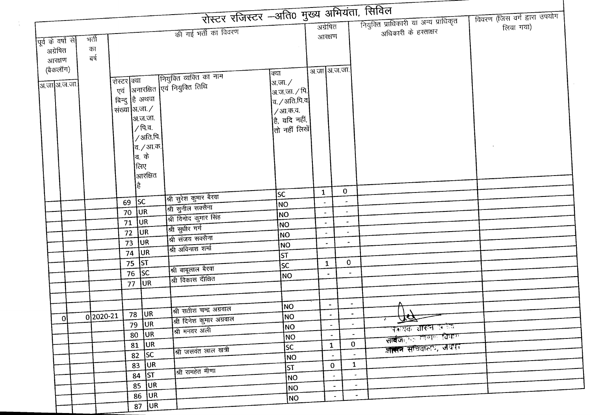| रोस्टर रजिस्टर -अति0 मुख्य अभियंता, सिविल<br>नियुक्ति प्राधिकारी या अन्य प्राधिकृत<br>अग्रेषित<br>लिया गया)<br>की गई भर्ती का विवरण<br>अधिकारी के हस्ताक्षर<br>आरक्षण<br>मर्ती<br>पूर्व के वर्षों से<br>का<br>अग्रेषित<br>बर्ष<br>आरक्षण<br>(बैकलॉग)<br>अ.जा अ.ज.जा.<br>क्या<br>रोस्टर क्या कियुक्ति व्यक्ति का नाम<br>एवं अनारक्षित एवं नियुक्ति तिथि<br>रोस्टर क्या<br>अ.जा. $\angle$<br>अ.जा अ.ज.जा.<br>!अ.ज.जा. ∕ पि. <br>बिन्दु हि अथवा<br>$ $ व / अति.पि.व<br>संख्या अ.जा./<br>/आ.क.व.<br>अ.ज.जा.<br>है, यदि नहीं,<br>/पि.व.<br>तो नहीं लिखें<br>/अति.पि.<br> त. <i>/</i> आ.क.<br> व. के<br>लिए<br>आरक्षित<br>है<br>$\mathbf 0$<br>$\mathbf{1}$<br>SC<br>श्री सुरेश कुमार बैरवा<br>$69$ SC<br>$\blacksquare$<br>NO<br>श्री सुनील सक्सेना<br>JUR<br>70<br>NO <sub></sub><br>श्री विनोद कुमार सिंह<br><b>JUR</b><br>71<br>$\bullet$<br> NO<br>$\blacksquare$<br>श्री सुधीर गर्ग<br><b>JUR</b><br>72<br>$\overline{\phantom{a}}$<br>$\blacksquare$<br> NO<br>श्री संजय सक्सेना<br><b>JUR</b><br>73<br>$\blacksquare$<br>NO<br>$\overline{\phantom{a}}$<br>श्री अविनाश शर्मा<br>74 UR<br> ST<br>$75$ ST<br>$\bf{0}$<br>$\mathbf{1}$<br><b>SC</b><br>श्री बाबूलाल बैरवा<br>$76$ SC<br>$\blacksquare$<br>$\overline{\phantom{a}}$<br> NO<br>श्री विकास दीक्षित<br>lur<br>77<br>$\overline{\phantom{a}}$<br> NO<br>श्री सतीश चन्द्र अग्रवाल<br>78 UR<br>0 2020-21<br>NO<br>-ol<br>$\overline{\Delta\alpha}$<br>श्री दिनेश कुमार अग्रवाल<br>रू<br>79 JUR<br>$\bullet$<br>$\blacksquare$<br> NO<br>जकायक शासन प्रकेश<br>श्री मनवर अली<br>$80$ UR<br>$\sim$<br>सार्वज <b>ि</b> ं निर्णल विभाग<br>NO<br>$\mathbf{0}$<br>$81$ UR<br>$\mathbf{1}$<br>जासन सचिवाला, जयपुर<br><b>SC</b><br>श्री जसवंत लाल खत्री<br>$82$ SC<br>$\sim$<br>NO<br>$\mathbf{1}$<br>83 UR<br>$\mathbf{0}$<br> ST<br>श्री रामहेत मीणा<br>$84$ ST<br>$\bullet$ .<br>$\bullet$<br><b>NO</b><br>$85$ UR<br>$\sim$<br>$\blacksquare$<br> NO<br>$86$ UR<br>$\tilde{\phantom{a}}$<br>$\omega$<br> NO<br>$87$ UR |  |  |  |  |  | विवरण (जिस वर्ग द्वारा उपयोग |
|---------------------------------------------------------------------------------------------------------------------------------------------------------------------------------------------------------------------------------------------------------------------------------------------------------------------------------------------------------------------------------------------------------------------------------------------------------------------------------------------------------------------------------------------------------------------------------------------------------------------------------------------------------------------------------------------------------------------------------------------------------------------------------------------------------------------------------------------------------------------------------------------------------------------------------------------------------------------------------------------------------------------------------------------------------------------------------------------------------------------------------------------------------------------------------------------------------------------------------------------------------------------------------------------------------------------------------------------------------------------------------------------------------------------------------------------------------------------------------------------------------------------------------------------------------------------------------------------------------------------------------------------------------------------------------------------------------------------------------------------------------------------------------------------------------------------------------------------------------------------------------------------------------------------------------------------------------------------------|--|--|--|--|--|------------------------------|
|                                                                                                                                                                                                                                                                                                                                                                                                                                                                                                                                                                                                                                                                                                                                                                                                                                                                                                                                                                                                                                                                                                                                                                                                                                                                                                                                                                                                                                                                                                                                                                                                                                                                                                                                                                                                                                                                                                                                                                           |  |  |  |  |  |                              |
|                                                                                                                                                                                                                                                                                                                                                                                                                                                                                                                                                                                                                                                                                                                                                                                                                                                                                                                                                                                                                                                                                                                                                                                                                                                                                                                                                                                                                                                                                                                                                                                                                                                                                                                                                                                                                                                                                                                                                                           |  |  |  |  |  |                              |
|                                                                                                                                                                                                                                                                                                                                                                                                                                                                                                                                                                                                                                                                                                                                                                                                                                                                                                                                                                                                                                                                                                                                                                                                                                                                                                                                                                                                                                                                                                                                                                                                                                                                                                                                                                                                                                                                                                                                                                           |  |  |  |  |  |                              |
|                                                                                                                                                                                                                                                                                                                                                                                                                                                                                                                                                                                                                                                                                                                                                                                                                                                                                                                                                                                                                                                                                                                                                                                                                                                                                                                                                                                                                                                                                                                                                                                                                                                                                                                                                                                                                                                                                                                                                                           |  |  |  |  |  |                              |
|                                                                                                                                                                                                                                                                                                                                                                                                                                                                                                                                                                                                                                                                                                                                                                                                                                                                                                                                                                                                                                                                                                                                                                                                                                                                                                                                                                                                                                                                                                                                                                                                                                                                                                                                                                                                                                                                                                                                                                           |  |  |  |  |  |                              |
|                                                                                                                                                                                                                                                                                                                                                                                                                                                                                                                                                                                                                                                                                                                                                                                                                                                                                                                                                                                                                                                                                                                                                                                                                                                                                                                                                                                                                                                                                                                                                                                                                                                                                                                                                                                                                                                                                                                                                                           |  |  |  |  |  |                              |
|                                                                                                                                                                                                                                                                                                                                                                                                                                                                                                                                                                                                                                                                                                                                                                                                                                                                                                                                                                                                                                                                                                                                                                                                                                                                                                                                                                                                                                                                                                                                                                                                                                                                                                                                                                                                                                                                                                                                                                           |  |  |  |  |  |                              |
|                                                                                                                                                                                                                                                                                                                                                                                                                                                                                                                                                                                                                                                                                                                                                                                                                                                                                                                                                                                                                                                                                                                                                                                                                                                                                                                                                                                                                                                                                                                                                                                                                                                                                                                                                                                                                                                                                                                                                                           |  |  |  |  |  |                              |
|                                                                                                                                                                                                                                                                                                                                                                                                                                                                                                                                                                                                                                                                                                                                                                                                                                                                                                                                                                                                                                                                                                                                                                                                                                                                                                                                                                                                                                                                                                                                                                                                                                                                                                                                                                                                                                                                                                                                                                           |  |  |  |  |  |                              |
|                                                                                                                                                                                                                                                                                                                                                                                                                                                                                                                                                                                                                                                                                                                                                                                                                                                                                                                                                                                                                                                                                                                                                                                                                                                                                                                                                                                                                                                                                                                                                                                                                                                                                                                                                                                                                                                                                                                                                                           |  |  |  |  |  |                              |
|                                                                                                                                                                                                                                                                                                                                                                                                                                                                                                                                                                                                                                                                                                                                                                                                                                                                                                                                                                                                                                                                                                                                                                                                                                                                                                                                                                                                                                                                                                                                                                                                                                                                                                                                                                                                                                                                                                                                                                           |  |  |  |  |  |                              |
|                                                                                                                                                                                                                                                                                                                                                                                                                                                                                                                                                                                                                                                                                                                                                                                                                                                                                                                                                                                                                                                                                                                                                                                                                                                                                                                                                                                                                                                                                                                                                                                                                                                                                                                                                                                                                                                                                                                                                                           |  |  |  |  |  |                              |
|                                                                                                                                                                                                                                                                                                                                                                                                                                                                                                                                                                                                                                                                                                                                                                                                                                                                                                                                                                                                                                                                                                                                                                                                                                                                                                                                                                                                                                                                                                                                                                                                                                                                                                                                                                                                                                                                                                                                                                           |  |  |  |  |  |                              |
|                                                                                                                                                                                                                                                                                                                                                                                                                                                                                                                                                                                                                                                                                                                                                                                                                                                                                                                                                                                                                                                                                                                                                                                                                                                                                                                                                                                                                                                                                                                                                                                                                                                                                                                                                                                                                                                                                                                                                                           |  |  |  |  |  |                              |
|                                                                                                                                                                                                                                                                                                                                                                                                                                                                                                                                                                                                                                                                                                                                                                                                                                                                                                                                                                                                                                                                                                                                                                                                                                                                                                                                                                                                                                                                                                                                                                                                                                                                                                                                                                                                                                                                                                                                                                           |  |  |  |  |  |                              |
|                                                                                                                                                                                                                                                                                                                                                                                                                                                                                                                                                                                                                                                                                                                                                                                                                                                                                                                                                                                                                                                                                                                                                                                                                                                                                                                                                                                                                                                                                                                                                                                                                                                                                                                                                                                                                                                                                                                                                                           |  |  |  |  |  |                              |
|                                                                                                                                                                                                                                                                                                                                                                                                                                                                                                                                                                                                                                                                                                                                                                                                                                                                                                                                                                                                                                                                                                                                                                                                                                                                                                                                                                                                                                                                                                                                                                                                                                                                                                                                                                                                                                                                                                                                                                           |  |  |  |  |  |                              |
|                                                                                                                                                                                                                                                                                                                                                                                                                                                                                                                                                                                                                                                                                                                                                                                                                                                                                                                                                                                                                                                                                                                                                                                                                                                                                                                                                                                                                                                                                                                                                                                                                                                                                                                                                                                                                                                                                                                                                                           |  |  |  |  |  |                              |
|                                                                                                                                                                                                                                                                                                                                                                                                                                                                                                                                                                                                                                                                                                                                                                                                                                                                                                                                                                                                                                                                                                                                                                                                                                                                                                                                                                                                                                                                                                                                                                                                                                                                                                                                                                                                                                                                                                                                                                           |  |  |  |  |  |                              |
|                                                                                                                                                                                                                                                                                                                                                                                                                                                                                                                                                                                                                                                                                                                                                                                                                                                                                                                                                                                                                                                                                                                                                                                                                                                                                                                                                                                                                                                                                                                                                                                                                                                                                                                                                                                                                                                                                                                                                                           |  |  |  |  |  |                              |
|                                                                                                                                                                                                                                                                                                                                                                                                                                                                                                                                                                                                                                                                                                                                                                                                                                                                                                                                                                                                                                                                                                                                                                                                                                                                                                                                                                                                                                                                                                                                                                                                                                                                                                                                                                                                                                                                                                                                                                           |  |  |  |  |  |                              |
|                                                                                                                                                                                                                                                                                                                                                                                                                                                                                                                                                                                                                                                                                                                                                                                                                                                                                                                                                                                                                                                                                                                                                                                                                                                                                                                                                                                                                                                                                                                                                                                                                                                                                                                                                                                                                                                                                                                                                                           |  |  |  |  |  |                              |
|                                                                                                                                                                                                                                                                                                                                                                                                                                                                                                                                                                                                                                                                                                                                                                                                                                                                                                                                                                                                                                                                                                                                                                                                                                                                                                                                                                                                                                                                                                                                                                                                                                                                                                                                                                                                                                                                                                                                                                           |  |  |  |  |  |                              |
|                                                                                                                                                                                                                                                                                                                                                                                                                                                                                                                                                                                                                                                                                                                                                                                                                                                                                                                                                                                                                                                                                                                                                                                                                                                                                                                                                                                                                                                                                                                                                                                                                                                                                                                                                                                                                                                                                                                                                                           |  |  |  |  |  |                              |
|                                                                                                                                                                                                                                                                                                                                                                                                                                                                                                                                                                                                                                                                                                                                                                                                                                                                                                                                                                                                                                                                                                                                                                                                                                                                                                                                                                                                                                                                                                                                                                                                                                                                                                                                                                                                                                                                                                                                                                           |  |  |  |  |  |                              |
|                                                                                                                                                                                                                                                                                                                                                                                                                                                                                                                                                                                                                                                                                                                                                                                                                                                                                                                                                                                                                                                                                                                                                                                                                                                                                                                                                                                                                                                                                                                                                                                                                                                                                                                                                                                                                                                                                                                                                                           |  |  |  |  |  |                              |
|                                                                                                                                                                                                                                                                                                                                                                                                                                                                                                                                                                                                                                                                                                                                                                                                                                                                                                                                                                                                                                                                                                                                                                                                                                                                                                                                                                                                                                                                                                                                                                                                                                                                                                                                                                                                                                                                                                                                                                           |  |  |  |  |  |                              |
|                                                                                                                                                                                                                                                                                                                                                                                                                                                                                                                                                                                                                                                                                                                                                                                                                                                                                                                                                                                                                                                                                                                                                                                                                                                                                                                                                                                                                                                                                                                                                                                                                                                                                                                                                                                                                                                                                                                                                                           |  |  |  |  |  |                              |
|                                                                                                                                                                                                                                                                                                                                                                                                                                                                                                                                                                                                                                                                                                                                                                                                                                                                                                                                                                                                                                                                                                                                                                                                                                                                                                                                                                                                                                                                                                                                                                                                                                                                                                                                                                                                                                                                                                                                                                           |  |  |  |  |  |                              |
|                                                                                                                                                                                                                                                                                                                                                                                                                                                                                                                                                                                                                                                                                                                                                                                                                                                                                                                                                                                                                                                                                                                                                                                                                                                                                                                                                                                                                                                                                                                                                                                                                                                                                                                                                                                                                                                                                                                                                                           |  |  |  |  |  |                              |
|                                                                                                                                                                                                                                                                                                                                                                                                                                                                                                                                                                                                                                                                                                                                                                                                                                                                                                                                                                                                                                                                                                                                                                                                                                                                                                                                                                                                                                                                                                                                                                                                                                                                                                                                                                                                                                                                                                                                                                           |  |  |  |  |  |                              |
|                                                                                                                                                                                                                                                                                                                                                                                                                                                                                                                                                                                                                                                                                                                                                                                                                                                                                                                                                                                                                                                                                                                                                                                                                                                                                                                                                                                                                                                                                                                                                                                                                                                                                                                                                                                                                                                                                                                                                                           |  |  |  |  |  |                              |
|                                                                                                                                                                                                                                                                                                                                                                                                                                                                                                                                                                                                                                                                                                                                                                                                                                                                                                                                                                                                                                                                                                                                                                                                                                                                                                                                                                                                                                                                                                                                                                                                                                                                                                                                                                                                                                                                                                                                                                           |  |  |  |  |  |                              |
|                                                                                                                                                                                                                                                                                                                                                                                                                                                                                                                                                                                                                                                                                                                                                                                                                                                                                                                                                                                                                                                                                                                                                                                                                                                                                                                                                                                                                                                                                                                                                                                                                                                                                                                                                                                                                                                                                                                                                                           |  |  |  |  |  |                              |
|                                                                                                                                                                                                                                                                                                                                                                                                                                                                                                                                                                                                                                                                                                                                                                                                                                                                                                                                                                                                                                                                                                                                                                                                                                                                                                                                                                                                                                                                                                                                                                                                                                                                                                                                                                                                                                                                                                                                                                           |  |  |  |  |  |                              |
|                                                                                                                                                                                                                                                                                                                                                                                                                                                                                                                                                                                                                                                                                                                                                                                                                                                                                                                                                                                                                                                                                                                                                                                                                                                                                                                                                                                                                                                                                                                                                                                                                                                                                                                                                                                                                                                                                                                                                                           |  |  |  |  |  |                              |
|                                                                                                                                                                                                                                                                                                                                                                                                                                                                                                                                                                                                                                                                                                                                                                                                                                                                                                                                                                                                                                                                                                                                                                                                                                                                                                                                                                                                                                                                                                                                                                                                                                                                                                                                                                                                                                                                                                                                                                           |  |  |  |  |  |                              |
|                                                                                                                                                                                                                                                                                                                                                                                                                                                                                                                                                                                                                                                                                                                                                                                                                                                                                                                                                                                                                                                                                                                                                                                                                                                                                                                                                                                                                                                                                                                                                                                                                                                                                                                                                                                                                                                                                                                                                                           |  |  |  |  |  |                              |
|                                                                                                                                                                                                                                                                                                                                                                                                                                                                                                                                                                                                                                                                                                                                                                                                                                                                                                                                                                                                                                                                                                                                                                                                                                                                                                                                                                                                                                                                                                                                                                                                                                                                                                                                                                                                                                                                                                                                                                           |  |  |  |  |  |                              |
|                                                                                                                                                                                                                                                                                                                                                                                                                                                                                                                                                                                                                                                                                                                                                                                                                                                                                                                                                                                                                                                                                                                                                                                                                                                                                                                                                                                                                                                                                                                                                                                                                                                                                                                                                                                                                                                                                                                                                                           |  |  |  |  |  |                              |